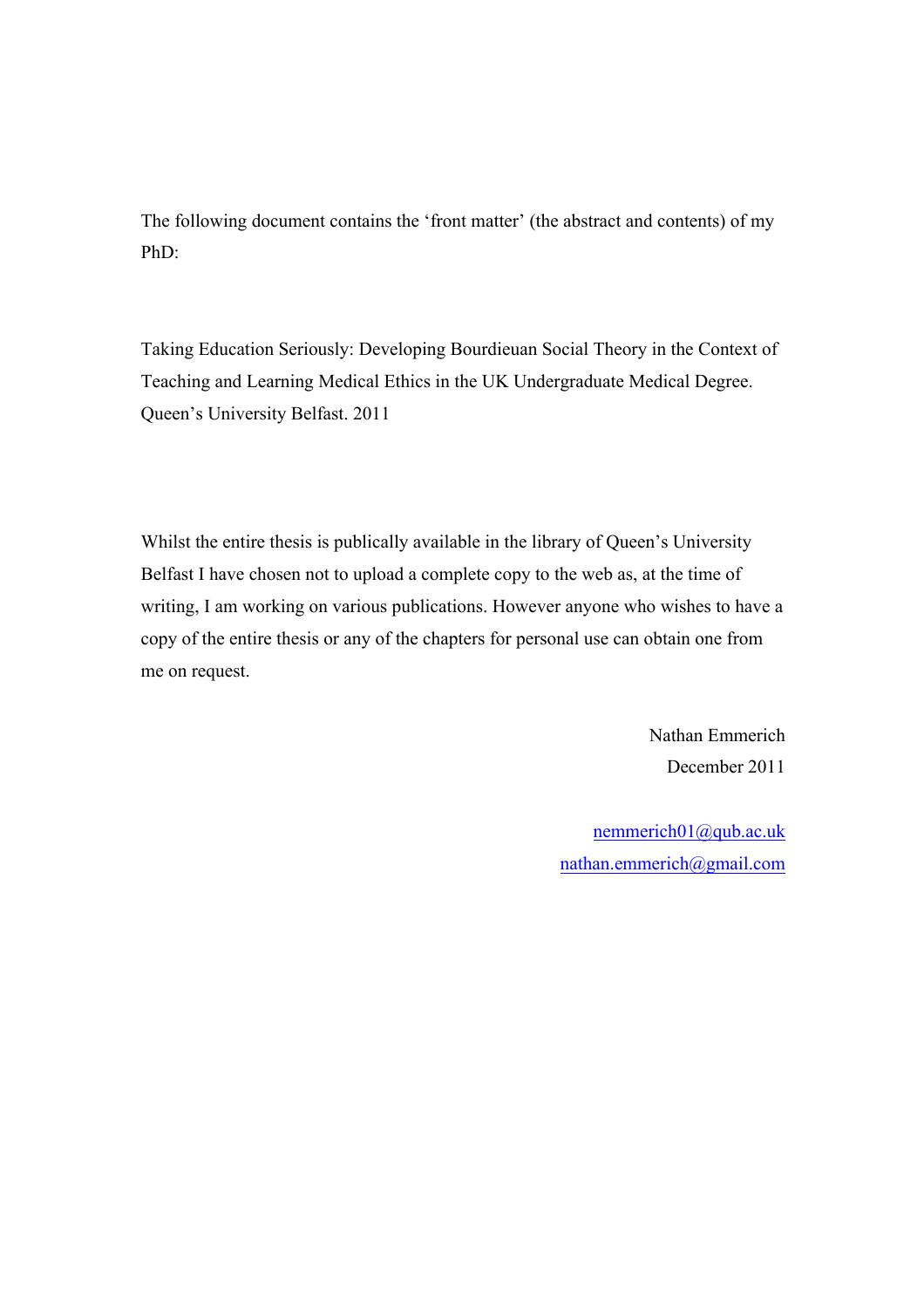The following document contains the 'front matter' (the abstract and contents) of my PhD:

Taking Education Seriously: Developing Bourdieuan Social Theory in the Context of Teaching and Learning Medical Ethics in the UK Undergraduate Medical Degree. Queen's University Belfast. 2011

Whilst the entire thesis is publically available in the library of Queen's University Belfast I have chosen not to upload a complete copy to the web as, at the time of writing, I am working on various publications. However anyone who wishes to have a copy of the entire thesis or any of the chapters for personal use can obtain one from me on request.

> Nathan Emmerich December 2011

nemmerich01@qub.ac.uk nathan.emmerich@gmail.com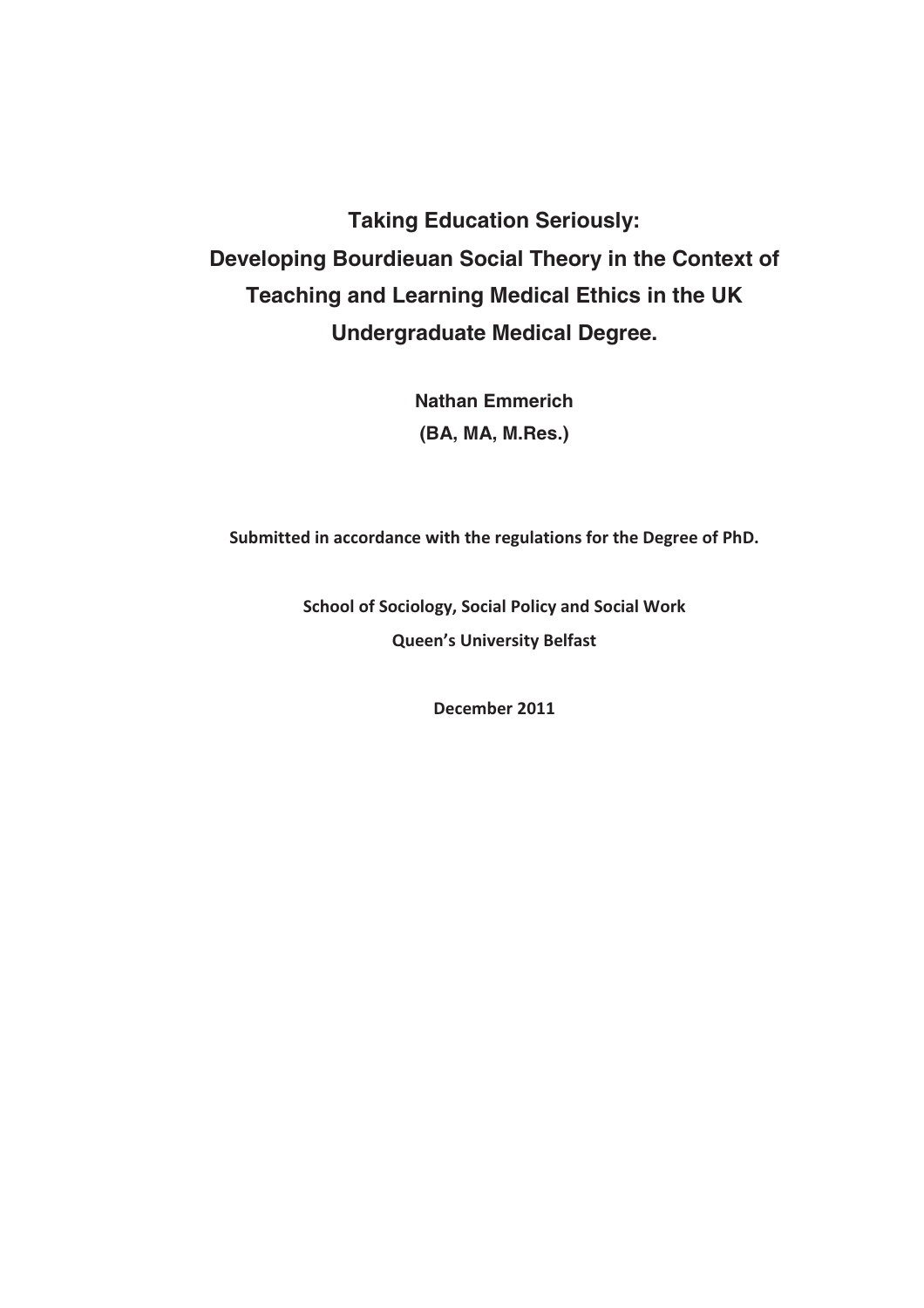**Taking Education Seriously: Developing Bourdieuan Social Theory in the Context of Teaching and Learning Medical Ethics in the UK Undergraduate Medical Degree.**

> **Nathan Emmerich (BA, MA, M.Res.)**

Submitted in accordance with the regulations for the Degree of PhD.

**School of Sociology, Social Policy and Social Work Queen's University Belfast** 

**December 2011**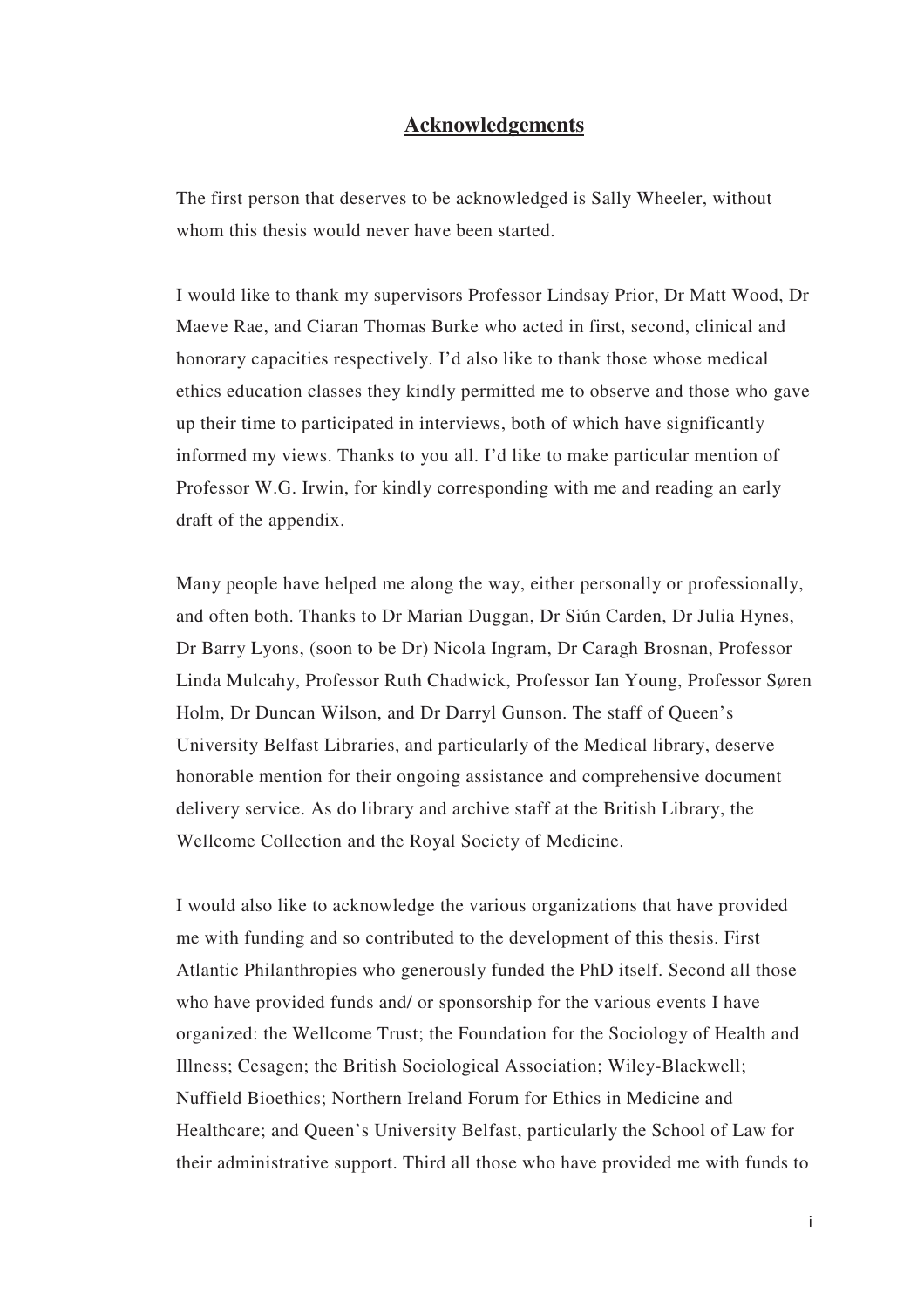## **Acknowledgements**

The first person that deserves to be acknowledged is Sally Wheeler, without whom this thesis would never have been started.

I would like to thank my supervisors Professor Lindsay Prior, Dr Matt Wood, Dr Maeve Rae, and Ciaran Thomas Burke who acted in first, second, clinical and honorary capacities respectively. I'd also like to thank those whose medical ethics education classes they kindly permitted me to observe and those who gave up their time to participated in interviews, both of which have significantly informed my views. Thanks to you all. I'd like to make particular mention of Professor W.G. Irwin, for kindly corresponding with me and reading an early draft of the appendix.

Many people have helped me along the way, either personally or professionally, and often both. Thanks to Dr Marian Duggan, Dr Siún Carden, Dr Julia Hynes, Dr Barry Lyons, (soon to be Dr) Nicola Ingram, Dr Caragh Brosnan, Professor Linda Mulcahy, Professor Ruth Chadwick, Professor Ian Young, Professor Søren Holm, Dr Duncan Wilson, and Dr Darryl Gunson. The staff of Queen's University Belfast Libraries, and particularly of the Medical library, deserve honorable mention for their ongoing assistance and comprehensive document delivery service. As do library and archive staff at the British Library, the Wellcome Collection and the Royal Society of Medicine.

I would also like to acknowledge the various organizations that have provided me with funding and so contributed to the development of this thesis. First Atlantic Philanthropies who generously funded the PhD itself. Second all those who have provided funds and/ or sponsorship for the various events I have organized: the Wellcome Trust; the Foundation for the Sociology of Health and Illness; Cesagen; the British Sociological Association; Wiley-Blackwell; Nuffield Bioethics; Northern Ireland Forum for Ethics in Medicine and Healthcare; and Queen's University Belfast, particularly the School of Law for their administrative support. Third all those who have provided me with funds to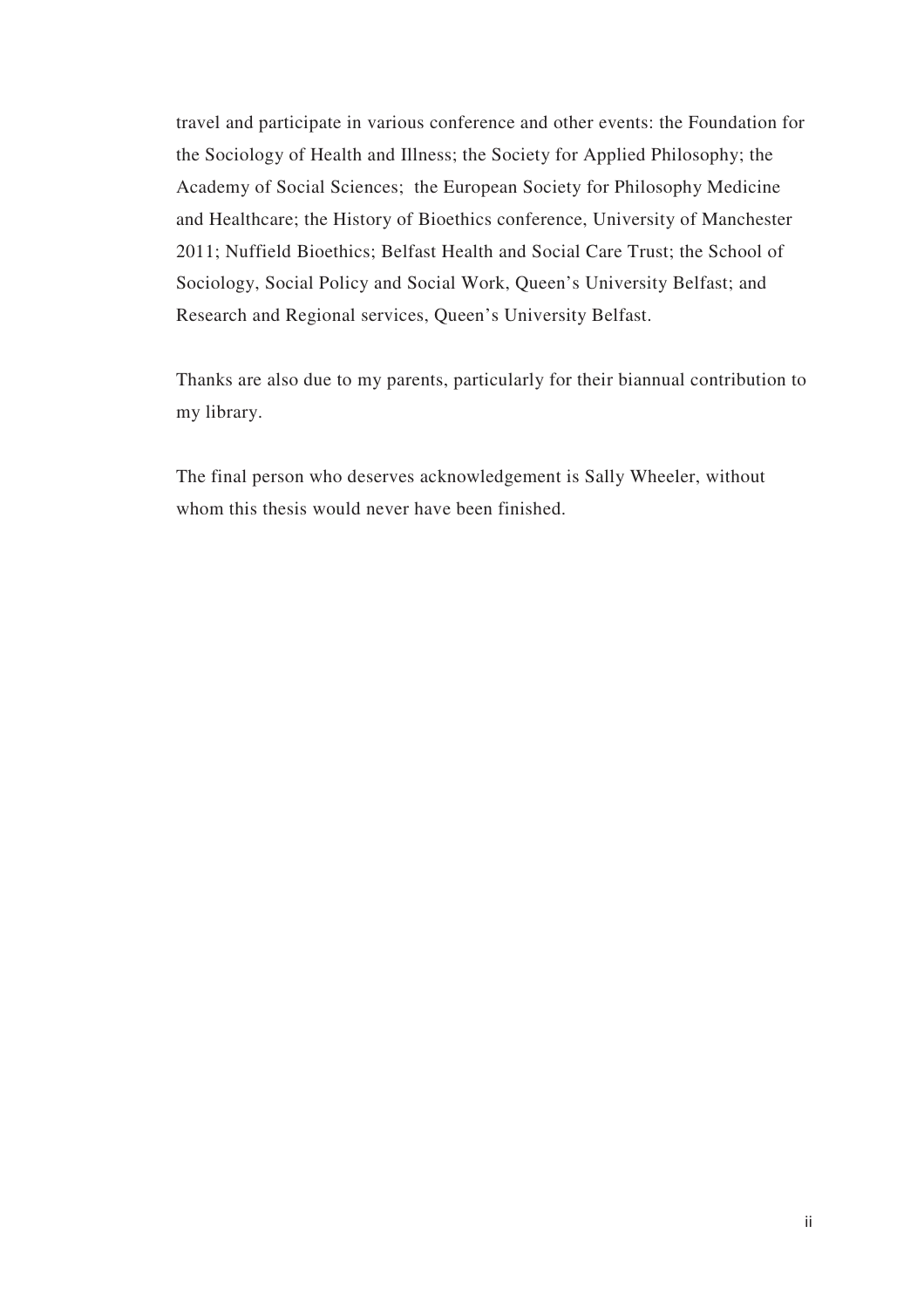travel and participate in various conference and other events: the Foundation for the Sociology of Health and Illness; the Society for Applied Philosophy; the Academy of Social Sciences; the European Society for Philosophy Medicine and Healthcare; the History of Bioethics conference, University of Manchester 2011; Nuffield Bioethics; Belfast Health and Social Care Trust; the School of Sociology, Social Policy and Social Work, Queen's University Belfast; and Research and Regional services, Queen's University Belfast.

Thanks are also due to my parents, particularly for their biannual contribution to my library.

The final person who deserves acknowledgement is Sally Wheeler, without whom this thesis would never have been finished.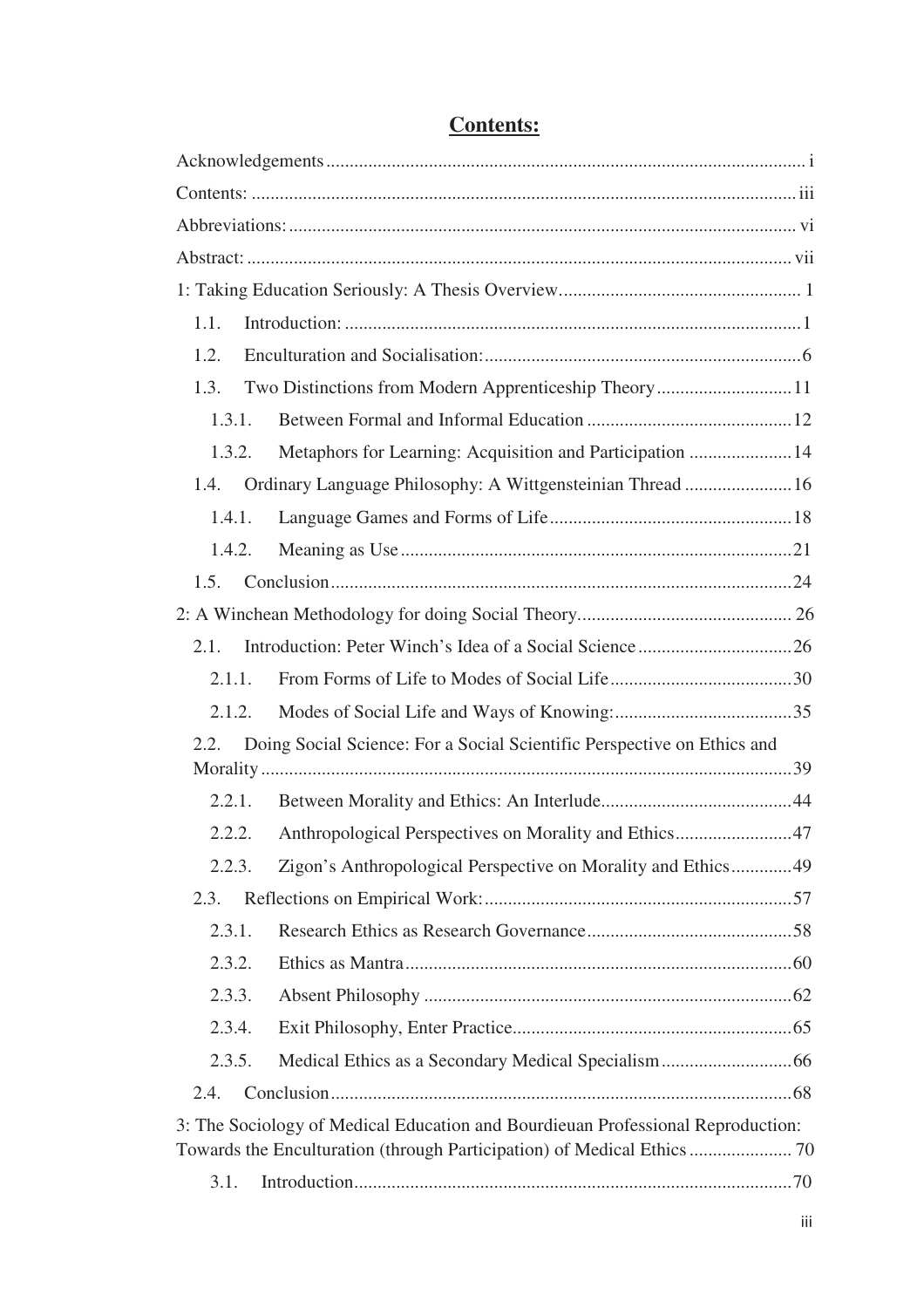| 1.1.   |                                                                                 |  |
|--------|---------------------------------------------------------------------------------|--|
| 1.2.   |                                                                                 |  |
| 1.3.   | Two Distinctions from Modern Apprenticeship Theory11                            |  |
| 1.3.1. |                                                                                 |  |
| 1.3.2. | Metaphors for Learning: Acquisition and Participation  14                       |  |
| 1.4.   | Ordinary Language Philosophy: A Wittgensteinian Thread  16                      |  |
| 1.4.1. |                                                                                 |  |
| 1.4.2. |                                                                                 |  |
| 1.5.   |                                                                                 |  |
|        |                                                                                 |  |
| 2.1.   |                                                                                 |  |
| 2.1.1. |                                                                                 |  |
| 2.1.2. |                                                                                 |  |
| 2.2.   | Doing Social Science: For a Social Scientific Perspective on Ethics and         |  |
|        |                                                                                 |  |
| 2.2.1. |                                                                                 |  |
| 2.2.2. |                                                                                 |  |
| 2.2.3. |                                                                                 |  |
| 2.3.   |                                                                                 |  |
| 2.3.1. |                                                                                 |  |
| 2.3.2. |                                                                                 |  |
| 2.3.3. |                                                                                 |  |
| 2.3.4. |                                                                                 |  |
| 2.3.5. |                                                                                 |  |
| 2.4.   |                                                                                 |  |
|        | 3: The Sociology of Medical Education and Bourdieuan Professional Reproduction: |  |
| 3.1.   |                                                                                 |  |

## **Contents:**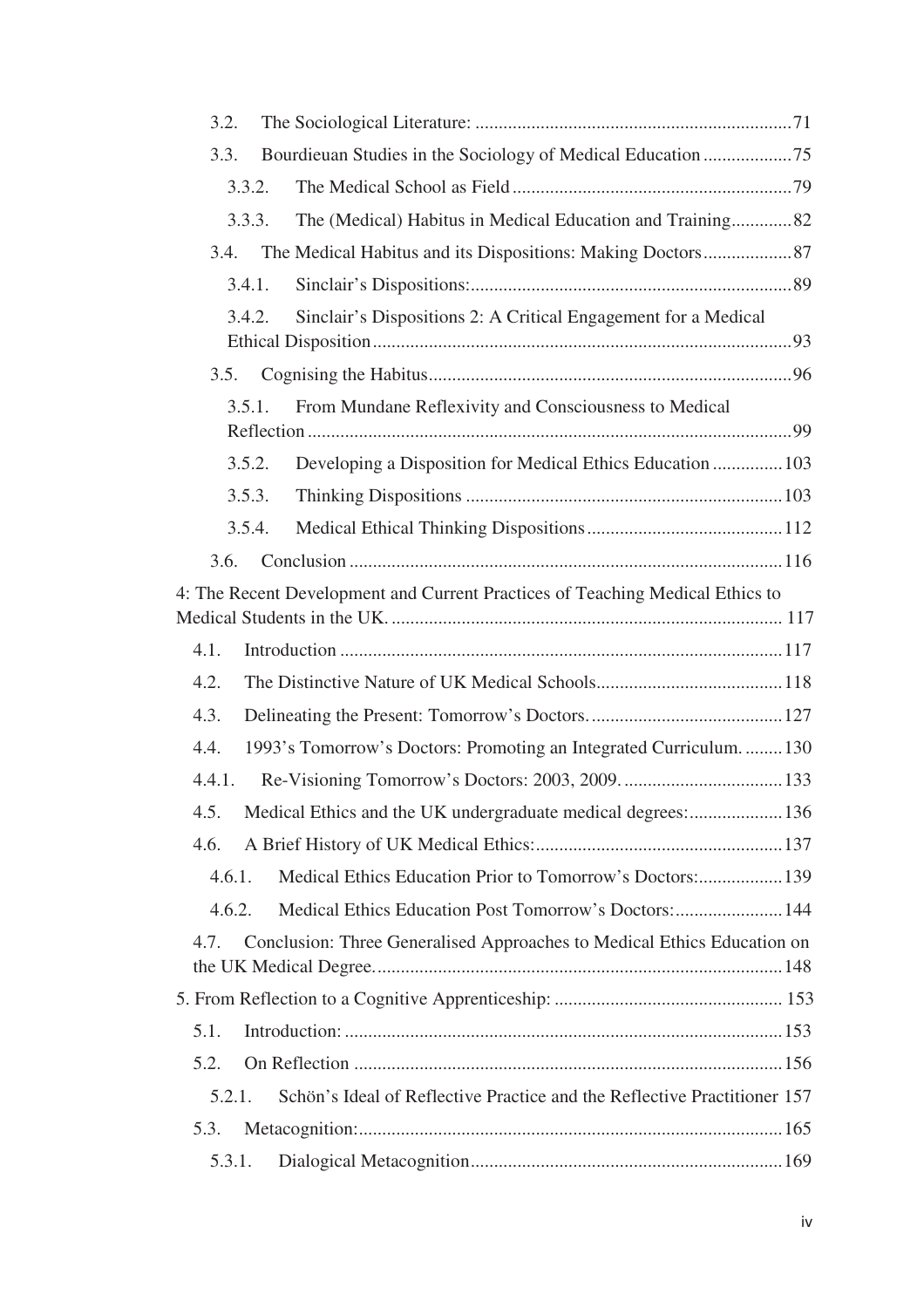| 3.2.   |        |                                                                               |
|--------|--------|-------------------------------------------------------------------------------|
| 3.3.   |        | Bourdieuan Studies in the Sociology of Medical Education 75                   |
|        | 3.3.2. |                                                                               |
|        | 3.3.3. | The (Medical) Habitus in Medical Education and Training82                     |
| 3.4.   |        |                                                                               |
|        | 3.4.1. |                                                                               |
| 3.4.2. |        | Sinclair's Dispositions 2: A Critical Engagement for a Medical                |
| 3.5.   |        |                                                                               |
|        | 3.5.1. | From Mundane Reflexivity and Consciousness to Medical                         |
|        | 3.5.2. | Developing a Disposition for Medical Ethics Education  103                    |
|        | 3.5.3. |                                                                               |
|        | 3.5.4. |                                                                               |
| 3.6.   |        |                                                                               |
|        |        | 4: The Recent Development and Current Practices of Teaching Medical Ethics to |
| 4.1.   |        |                                                                               |
| 4.2.   |        |                                                                               |
| 4.3.   |        |                                                                               |
| 4.4.   |        | 1993's Tomorrow's Doctors: Promoting an Integrated Curriculum.  130           |
| 4.4.1. |        |                                                                               |
| 4.5.   |        | Medical Ethics and the UK undergraduate medical degrees:136                   |
| 4.6.   |        |                                                                               |
| 4.6.1. |        | Medical Ethics Education Prior to Tomorrow's Doctors: 139                     |
| 4.6.2. |        | Medical Ethics Education Post Tomorrow's Doctors: 144                         |
| 4.7.   |        | Conclusion: Three Generalised Approaches to Medical Ethics Education on       |
|        |        |                                                                               |
| 5.1.   |        |                                                                               |
| 5.2.   |        |                                                                               |
| 5.2.1. |        | Schön's Ideal of Reflective Practice and the Reflective Practitioner 157      |
| 5.3.   |        |                                                                               |
| 5.3.1. |        |                                                                               |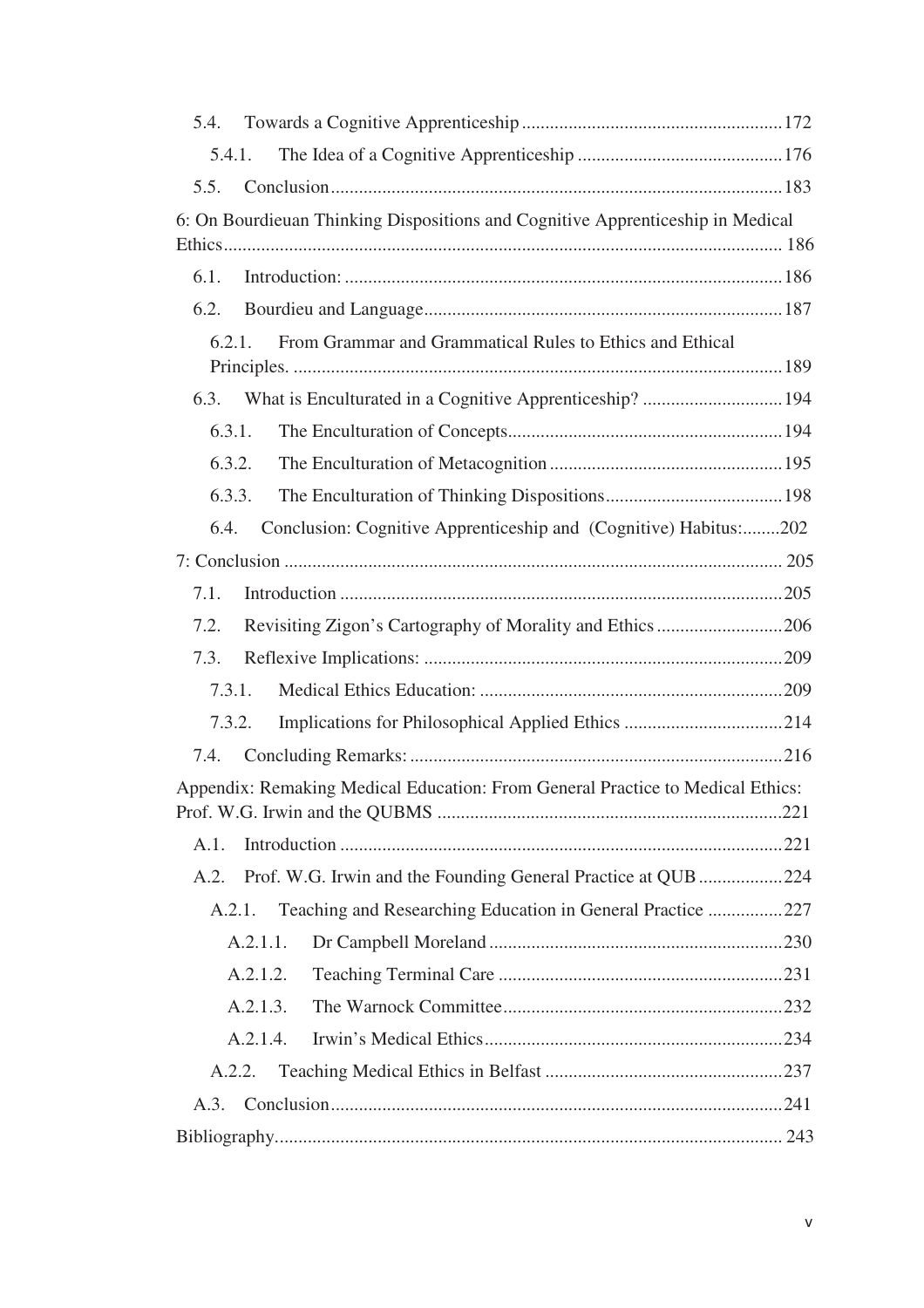| 5.4.                                                                           |  |  |  |
|--------------------------------------------------------------------------------|--|--|--|
| 5.4.1.                                                                         |  |  |  |
| 5.5.                                                                           |  |  |  |
| 6: On Bourdieuan Thinking Dispositions and Cognitive Apprenticeship in Medical |  |  |  |
| 6.1.                                                                           |  |  |  |
| 6.2.                                                                           |  |  |  |
| From Grammar and Grammatical Rules to Ethics and Ethical<br>6.2.1.             |  |  |  |
|                                                                                |  |  |  |
| 6.3.1.                                                                         |  |  |  |
| 6.3.2.                                                                         |  |  |  |
| 6.3.3.                                                                         |  |  |  |
| Conclusion: Cognitive Apprenticeship and (Cognitive) Habitus:202<br>6.4.       |  |  |  |
|                                                                                |  |  |  |
| 7.1.                                                                           |  |  |  |
| 7.2.                                                                           |  |  |  |
| 7.3.                                                                           |  |  |  |
| 7.3.1.                                                                         |  |  |  |
| 7.3.2.                                                                         |  |  |  |
| 7.4.                                                                           |  |  |  |
| Appendix: Remaking Medical Education: From General Practice to Medical Ethics: |  |  |  |
| A.1.                                                                           |  |  |  |
| Prof. W.G. Irwin and the Founding General Practice at QUB 224<br>A.2.          |  |  |  |
| Teaching and Researching Education in General Practice 227<br>A.2.1.           |  |  |  |
| A.2.1.1.                                                                       |  |  |  |
| A.2.1.2.                                                                       |  |  |  |
| A.2.1.3.                                                                       |  |  |  |
| A.2.1.4.                                                                       |  |  |  |
| A.2.2.                                                                         |  |  |  |
|                                                                                |  |  |  |
|                                                                                |  |  |  |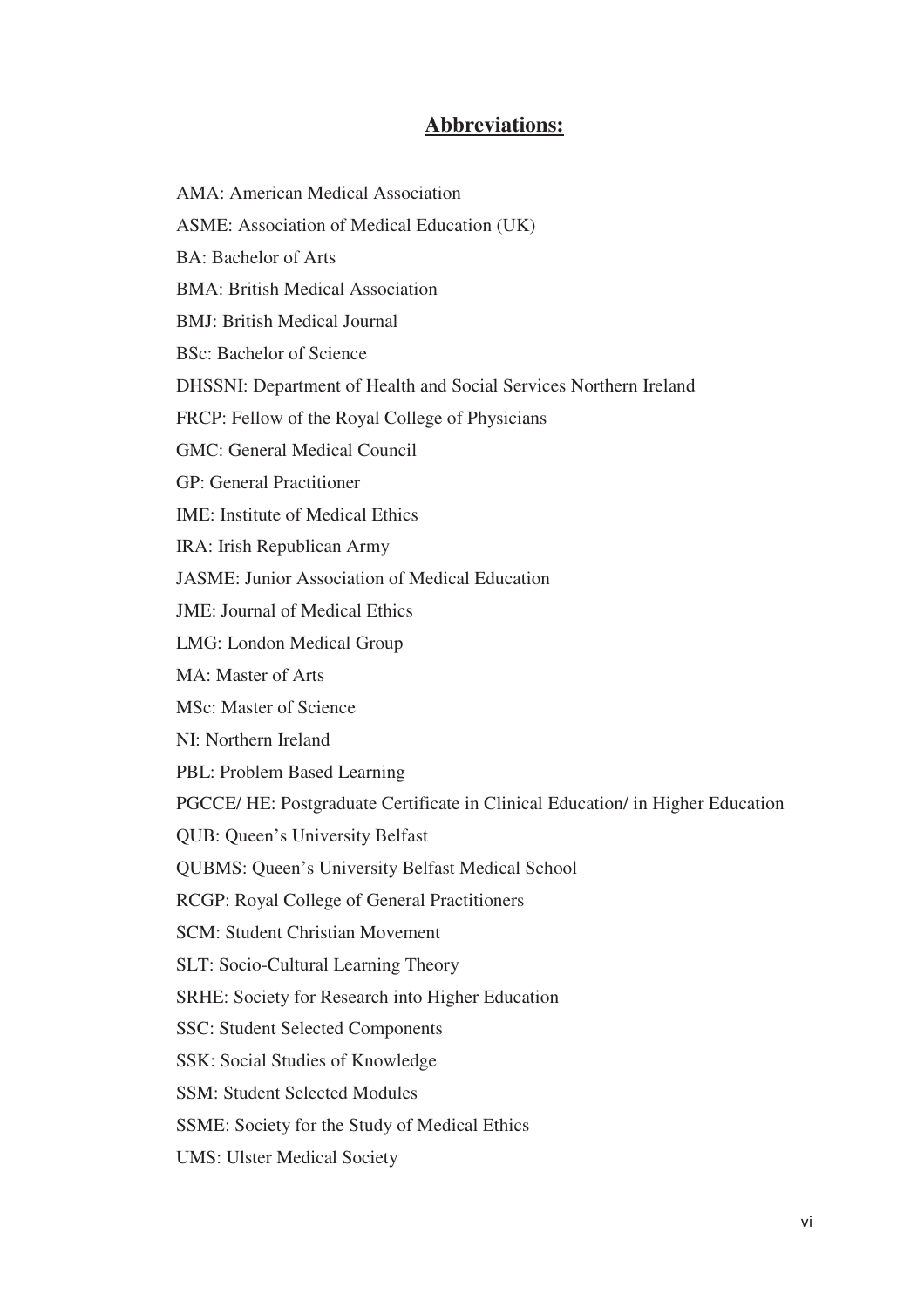## **Abbreviations:**

AMA: American Medical Association ASME: Association of Medical Education (UK) BA: Bachelor of Arts BMA: British Medical Association BMJ: British Medical Journal BSc: Bachelor of Science DHSSNI: Department of Health and Social Services Northern Ireland FRCP: Fellow of the Royal College of Physicians GMC: General Medical Council GP: General Practitioner IME: Institute of Medical Ethics IRA: Irish Republican Army JASME: Junior Association of Medical Education JME: Journal of Medical Ethics LMG: London Medical Group MA: Master of Arts MSc: Master of Science NI: Northern Ireland PBL: Problem Based Learning PGCCE/ HE: Postgraduate Certificate in Clinical Education/ in Higher Education QUB: Queen's University Belfast QUBMS: Queen's University Belfast Medical School RCGP: Royal College of General Practitioners SCM: Student Christian Movement SLT: Socio-Cultural Learning Theory SRHE: Society for Research into Higher Education SSC: Student Selected Components SSK: Social Studies of Knowledge SSM: Student Selected Modules SSME: Society for the Study of Medical Ethics

UMS: Ulster Medical Society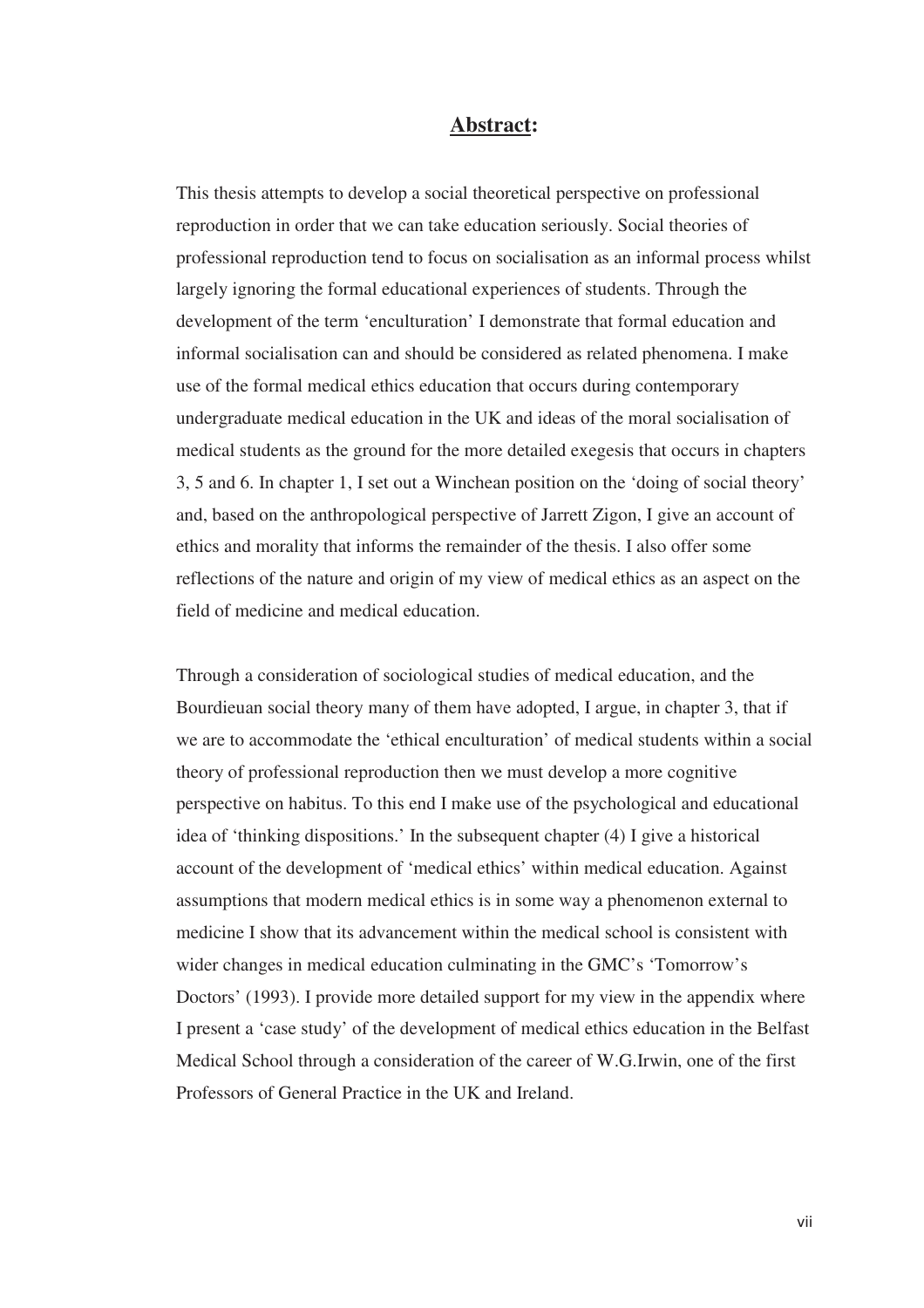## **Abstract:**

This thesis attempts to develop a social theoretical perspective on professional reproduction in order that we can take education seriously. Social theories of professional reproduction tend to focus on socialisation as an informal process whilst largely ignoring the formal educational experiences of students. Through the development of the term 'enculturation' I demonstrate that formal education and informal socialisation can and should be considered as related phenomena. I make use of the formal medical ethics education that occurs during contemporary undergraduate medical education in the UK and ideas of the moral socialisation of medical students as the ground for the more detailed exegesis that occurs in chapters 3, 5 and 6. In chapter 1, I set out a Winchean position on the 'doing of social theory' and, based on the anthropological perspective of Jarrett Zigon, I give an account of ethics and morality that informs the remainder of the thesis. I also offer some reflections of the nature and origin of my view of medical ethics as an aspect on the field of medicine and medical education.

Through a consideration of sociological studies of medical education, and the Bourdieuan social theory many of them have adopted, I argue, in chapter 3, that if we are to accommodate the 'ethical enculturation' of medical students within a social theory of professional reproduction then we must develop a more cognitive perspective on habitus. To this end I make use of the psychological and educational idea of 'thinking dispositions.' In the subsequent chapter (4) I give a historical account of the development of 'medical ethics' within medical education. Against assumptions that modern medical ethics is in some way a phenomenon external to medicine I show that its advancement within the medical school is consistent with wider changes in medical education culminating in the GMC's 'Tomorrow's Doctors' (1993). I provide more detailed support for my view in the appendix where I present a 'case study' of the development of medical ethics education in the Belfast Medical School through a consideration of the career of W.G.Irwin, one of the first Professors of General Practice in the UK and Ireland.